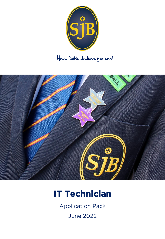

# Have faith…believe you can!



# **IT Technician**

Application Pack

June 2022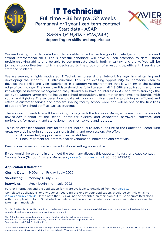

# **IT Technician**

Full time – 36 hrs pw, 52 weeks Permanent or 1 year fixed-term contract Start date - ASAP S3-S5 (£19,313 - £23,243) depending on skills and experience



We are looking for a dedicated and dependable individual with a good knowledge of computers and strong interpersonal skills. The successful candidate will have a keen attention to detail, good problem-solving ability and be able to communicate clearly both in writing and orally. You will be joining a supportive team which is dedicated to the provision of a responsive, efficient IT service to staff and students.

We are seeking a highly motivated IT Technician to assist the Network Manager in maintaining and developing the school's ICT infrastructure. This is an exciting opportunity for someone keen to develop their skills and gain experience in a supportive environment that is working at the cutting edge of technology. The ideal candidate should be fully literate in all MS Office applications and have knowledge of network management, they should also have an interest in AV and (with training) the ability to support larger events including school productions, presentation evenings and liturgies with sound and lighting. The successful candidate will play a significant part in providing an efficient and effective customer service and problem-solving facility school wide, and will be one of the first lines of support for school staff, as well as students.

The successful candidate will be working closely with the Network Manager to maintain the smooth day-to-day running of the school computer system and associated hardware, software and peripherals for network and standalone machines, servers and laptops.

This is an excellent opportunity for the right individual to gain exposure to the Education Sector with great rewards including a good pension, training and progression. We offer:

- A committed, supportive and successful team
- Encouragement for professional development, innovation and creativity.

Previous experience of a role in an educational setting is desirable.

If you would like to come in and meet the team and discuss this opportunity further please contact: Yvonne Dore (School Business Manager) [y.dore@sjb.surrey.sch.uk](mailto:y.dore@sjb.surrey.sch.uk) (01483 749943).

### **Application & Selection:**

Closing Date: 9.00am on Friday 1 July 2022

Shortlisting: Monday 4 July 2022

### Interviews: Week beginning 11 July 2022

Further information and the application forms are available to download from our [website](https://w.sjb.school/).

Completed applications, or any queries regarding the role or your application, should be sent via email to [jobs@sjb.surrey.sch.uk.](mailto:jobs@sjb.surrey.sch.uk) Please note that CVs will not be accepted on their own but must be submitted along with the application form. Shortlisted candidates will be notified, invited for interview and references will be taken up immediately.

St John The Baptist School is committed to safeguarding and promoting the welfare of children, young people and vulnerable adults and expects all staff and volunteers to share this commitment.

The School encourages all candidates to be familiar with the following documents: Section 1 of the DfE paper on "Keeping Children Safe in Education" September 2021 Safeguarding and Child Protection Policy.

In line with the General Data Protection Regulation (GDPR) the School asks candidates to consider the Privacy Notice for Job Applicants. The documents listed above are available from the School's Vacancy and Policy pages.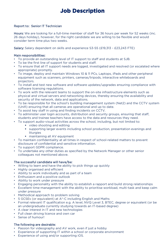### **Job Description**

### Report to: Senior IT Technician

Hours: We are looking for a full-time member of staff for 36 hours per week for 52 weeks (inc. 26 days holiday), however, for the right candidate we are willing to be flexible and would consider term time plus two weeks.

Salary: Salary dependent on skills and experience S3-S5 (£19,313 - £23,243 FTE)

### Main responsibilities:

- To provide an outstanding level of IT support to staff and students at SJB.
- To be the first line of support for students and staff.
- To ensure that all IT support needs are logged, investigated and resolved (or escalated where appropriate) promptly.
- To image, deploy and maintain Windows 10 & 11 PCs, Laptops, iPads and other peripheral equipment such as scanners, printers, cameras/tripods, interactive whiteboards and projectors.
- To install and test new software and software updates/upgrades ensuring compliance with software licensing regulations.
- To work with the relevant teams to support the on-site infrastructure elements such as physical and virtual servers and networking devices, thereby ensuring the availability and security of the network, data and applications.
- To be responsible for the school's building management system (Net2) and the CCTV system (Unifi) ensuring that all cameras are operational and up to date.
- To assist key staff in using and finding incidents on CCTV.
- To administer user login accounts, distribution and security groups, ensuring that staff, students and trainee teachers have access to the data and resources they need.
- To support audio-visual activities across the school, including, but not limited to:
	- video shooting and editing
	- supporting larger events including school production, presentation evenings and liturgies
	- maintaining all AV equipment
- To maintain confidentiality at all times in respect of school-related matters to prevent disclosure of confidential and sensitive information.
- To support GDPR compliance.
- To undertake any other duties as specified by the Network Manager or other senior colleagues not mentioned above.

### The successful candidate will have/be:

- Willing to learn and have the ability to pick things up quickly
- Highly organised and efficient
- Ability to work individually and as part of a team
- Enthusiasm and a positive outlook
- Ability to work under pressure
- Engaging personality with the ability to establish a rapport and build strong relationships
- Excellent time-management with the ability to prioritise workload, multi-task and keep calm under pressure
- Methodical approach to problem solving
- 5 GCSEs (or equivalent) at A\*-C including English and Maths
- Formal relevant IT qualification e.g. A level, NVQ Level 3, BTEC, degree or equivalent (or be an undergraduate currently studying towards an IT-based degree)
- A clear interest in IT and new technologies
- Full clean driving licence and own car
- Sense of humour!

### The following are desirable:

- Passion for videography and AV work, even if just a hobby
- Experience of supporting IT within a school or corporate environment
- Experience of using and/or supporting iOS.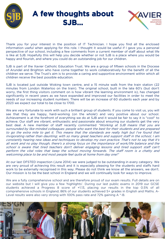

**A few thoughts about SJB…**



Thank you for your interest in the position of IT Technician. I hope you find all the enclosed information useful when applying for this role. I thought it would be useful if I gave you a personal perspective of our school, including a few comments from a current member of staff about what life is like at SJB. Hopefully this will help you decide whether or not SJB is a place where you would be happy and flourish, and where you could do an outstanding job for our children.

SJB is part of the Xavier Catholic Education Trust. We are a group of fifteen schools in the Diocese of Arundel and Brighton who have come together to work collaboratively for the benefit of all the children we serve. The Trust's aim is to provide a caring and supportive environment within which all children receive the best possible education.

SJB is located just outside Woking town centre, and a 15 minute walk from the train station (22 minutes from London Waterloo on the train). The original school, built in the late 60's (but don't worry, the first thing visitors comment on is how vibrant the learning environment is), has changed significantly in recent years as we have expanded and improved our facilities in order to meet the needs of our increasing student numbers. There will be an increase of 60 students each year and by 2023 we expect our total to be close to 1700.

We are very fortunate to work with such a brilliant group of students. If you come to visit us, you will see that they are happy, hard-working (on the whole!) and very positive about our school. Achievement is at the forefront of everything we do at SJB and it would be fair to say it is "cool" to achieve. Our staff are vibrant, enthusiastic and passionate about ensuring our students get the very best deal. A new member of staff recently commented "Working at SJB means that you are surrounded by like-minded colleagues: people who want the best for their students and are prepared to go the extra mile to get it. This means that the standards are really high but I've found that invigorating rather than daunting; with so many great teachers and support staff in the school, I am constantly hearing new ideas and techniques to develop my own practice. That's not to say that it's all work and no play though, there's <sup>a</sup> strong focus on the importance of work/life balance and the school is aware that tired teachers don't deliver engaging lessons and tired support staff can't perform the vital roles that keep the school moving forwards. The staff room is <sup>a</sup> chatty and welcoming place to be and most people feel quite at home from day one!"

At our last OFSTED inspection (June 2014) we were judged to be outstanding in every category. We are very proud of achieving this result and it is especially pleasing for the students and staffs hard work to be externally recognised in this way. Please do not think we know all the answers, we don't. Our mission is to be the best school in England and we will continually look for ways to improve.

We are a fully comprehensive school and are therefore proud of our exam results. Full details are on our website but I will give you a few 'highlights'. During our last public exams in 2019 our GCSE students achieved a Progress 8 score of +1.13, placing our results in the top 0.5% of all comprehensive schools in England; 86% of our students achieved 5+ grades in English and Maths. A-Level results were also very strong with 100% pass rate and 72% gaining A \*-B.